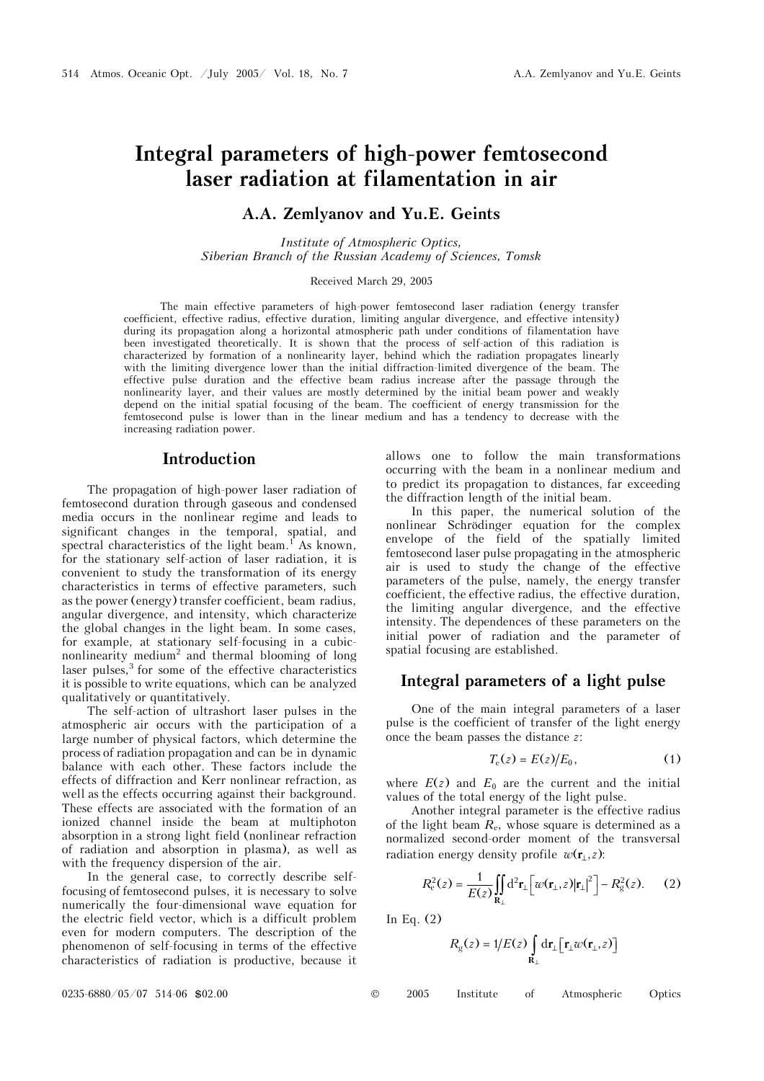# **Integral parameters of high-power femtosecond laser radiation at filamentation in air**

### **A.A. Zemlyanov and Yu.E. Geints**

*Institute of Atmospheric Optics, Siberian Branch of the Russian Academy of Sciences, Tomsk* 

#### Received March 29, 2005

The main effective parameters of high-power femtosecond laser radiation (energy transfer coefficient, effective radius, effective duration, limiting angular divergence, and effective intensity) during its propagation along a horizontal atmospheric path under conditions of filamentation have been investigated theoretically. It is shown that the process of self-action of this radiation is characterized by formation of a nonlinearity layer, behind which the radiation propagates linearly with the limiting divergence lower than the initial diffraction-limited divergence of the beam. The effective pulse duration and the effective beam radius increase after the passage through the nonlinearity layer, and their values are mostly determined by the initial beam power and weakly depend on the initial spatial focusing of the beam. The coefficient of energy transmission for the femtosecond pulse is lower than in the linear medium and has a tendency to decrease with the increasing radiation power.

### **Introduction**

The propagation of high-power laser radiation of femtosecond duration through gaseous and condensed media occurs in the nonlinear regime and leads to significant changes in the temporal, spatial, and spectral characteristics of the light beam.<sup>1</sup> As known, for the stationary self-action of laser radiation, it is convenient to study the transformation of its energy characteristics in terms of effective parameters, such as the power (energy) transfer coefficient, beam radius, angular divergence, and intensity, which characterize the global changes in the light beam. In some cases, for example, at stationary self-focusing in a cubicnonlinearity medium<sup>2</sup> and thermal blooming of long  $\frac{1}{2}$  laser pulses,  $\frac{3}{2}$  for some of the effective characteristics it is possible to write equations, which can be analyzed qualitatively or quantitatively.

The self-action of ultrashort laser pulses in the atmospheric air occurs with the participation of a large number of physical factors, which determine the process of radiation propagation and can be in dynamic balance with each other. These factors include the effects of diffraction and Kerr nonlinear refraction, as well as the effects occurring against their background. These effects are associated with the formation of an ionized channel inside the beam at multiphoton absorption in a strong light field (nonlinear refraction of radiation and absorption in plasma), as well as with the frequency dispersion of the air.

In the general case, to correctly describe selffocusing of femtosecond pulses, it is necessary to solve numerically the four-dimensional wave equation for the electric field vector, which is a difficult problem even for modern computers. The description of the phenomenon of self-focusing in terms of the effective characteristics of radiation is productive, because it allows one to follow the main transformations occurring with the beam in a nonlinear medium and to predict its propagation to distances, far exceeding the diffraction length of the initial beam.

In this paper, the numerical solution of the nonlinear Schrödinger equation for the complex envelope of the field of the spatially limited femtosecond laser pulse propagating in the atmospheric air is used to study the change of the effective parameters of the pulse, namely, the energy transfer coefficient, the effective radius, the effective duration, the limiting angular divergence, and the effective intensity. The dependences of these parameters on the initial power of radiation and the parameter of spatial focusing are established.

### **Integral parameters of a light pulse**

One of the main integral parameters of a laser pulse is the coefficient of transfer of the light energy once the beam passes the distance *z*:

$$
T_{\rm e}(z) = E(z)/E_0, \qquad (1)
$$

where  $E(z)$  and  $E_0$  are the current and the initial values of the total energy of the light pulse.

Another integral parameter is the effective radius of the light beam  $R_e$ , whose square is determined as a normalized second-order moment of the transversal radiation energy density profile  $w(\mathbf{r}_1, z)$ :

$$
R_{\rm e}^2(z) = \frac{1}{E(z)} \iint\limits_{\mathbf{R}_{\perp}} d^2 \mathbf{r}_{\perp} \left[ \left[ w(\mathbf{r}_{\perp}, z) | \mathbf{r}_{\perp} \right]^2 \right] - R_{\rm g}^2(z). \tag{2}
$$

In Eq. (2)

$$
R_{\rm g}(z) = 1/E(z) \int_{\mathbf{R}_{\perp}} d\mathbf{r}_{\perp} [\mathbf{r}_{\perp} w(\mathbf{r}_{\perp}, z)]
$$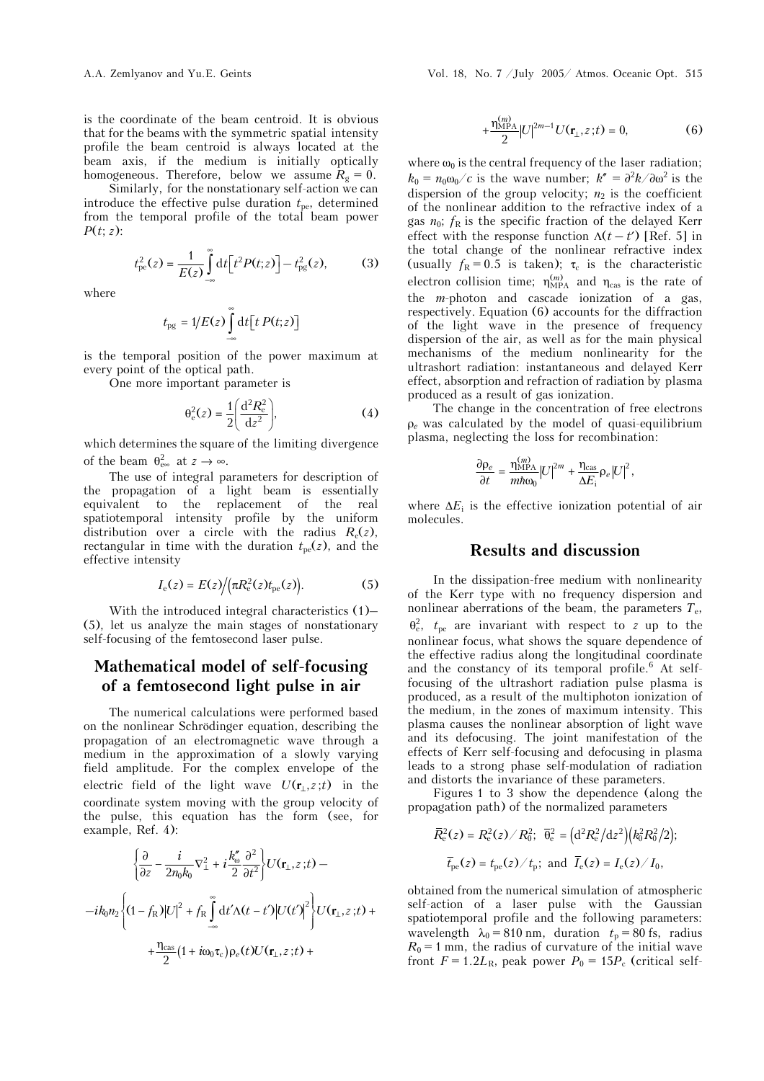is the coordinate of the beam centroid. It is obvious that for the beams with the symmetric spatial intensity profile the beam centroid is always located at the beam axis, if the medium is initially optically homogeneous. Therefore, below we assume  $R_g = 0$ .

Similarly, for the nonstationary self-action we can introduce the effective pulse duration  $t_{pe}$ , determined from the temporal profile of the total beam power *P*(*t*; *z*):

$$
t_{\rm pe}^2(z) = \frac{1}{E(z)} \int_{-\infty}^{\infty} dt \Big[ t^2 P(t; z) \Big] - t_{\rm pg}^2(z), \tag{3}
$$

where

$$
t_{\rm pg} = 1/E(z) \int_{-\infty}^{\infty} dt \big[ t \, P(t;z) \big]
$$

is the temporal position of the power maximum at every point of the optical path.

One more important parameter is

$$
\theta_{\rm e}^2(z) = \frac{1}{2} \left( \frac{\mathrm{d}^2 R_{\rm e}^2}{\mathrm{d} z^2} \right),\tag{4}
$$

which determines the square of the limiting divergence of the beam  $\theta_{\rm ee}^2$  at  $z \to \infty$ .

The use of integral parameters for description of the propagation of a light beam is essentially equivalent to the replacement of the real spatiotemporal intensity profile by the uniform distribution over a circle with the radius  $R_e(z)$ , rectangular in time with the duration  $t_{pe}(z)$ , and the effective intensity

$$
I_{\rm e}(z) = E(z) / (\pi R_{\rm e}^2(z) t_{\rm pe}(z)).
$$
 (5)

With the introduced integral characteristics (1)– (5), let us analyze the main stages of nonstationary self-focusing of the femtosecond laser pulse.

## **Mathematical model of self-focusing of a femtosecond light pulse in air**

The numerical calculations were performed based on the nonlinear Schrödinger equation, describing the propagation of an electromagnetic wave through a medium in the approximation of a slowly varying field amplitude. For the complex envelope of the electric field of the light wave  $U(\mathbf{r}_1, z; t)$  in the coordinate system moving with the group velocity of the pulse, this equation has the form (see, for example, Ref. 4):

$$
\left\{\frac{\partial}{\partial z} - \frac{i}{2n_0k_0} \nabla_{\perp}^2 + i \frac{k_{\omega}^{\prime\prime}}{2} \frac{\partial^2}{\partial t^2} \right\} U(\mathbf{r}_{\perp}, z; t) --i k_0 n_2 \left\{ (1 - f_{\rm R}) |U|^2 + f_{\rm R} \int_{-\infty}^{\infty} \mathrm{d}t' \Lambda(t - t') |U(t')|^2 \right\} U(\mathbf{r}_{\perp}, z; t) ++ \frac{\eta_{\rm cas}}{2} (1 + i\omega_0 \tau_{\rm c}) \rho_e(t) U(\mathbf{r}_{\perp}, z; t) +
$$

$$
+\frac{\eta_{\text{MPA}}^{(m)}}{2}|U|^{2m-1}U(\mathbf{r}_{\perp},z;t)=0,
$$
 (6)

where  $\omega_0$  is the central frequency of the laser radiation;  $k_0 = n_0 \omega_0/c$  is the wave number;  $k'' = \frac{\partial^2 k}{\partial \omega^2}$  is the dispersion of the group velocity;  $n_2$  is the coefficient of the nonlinear addition to the refractive index of a gas  $n_0$ ;  $f_R$  is the specific fraction of the delayed Kerr effect with the response function  $\Lambda(t-t')$  [Ref. 5] in the total change of the nonlinear refractive index (usually  $f_R = 0.5$  is taken);  $\tau_c$  is the characteristic electron collision time;  $\eta_{\text{MPA}}^{(m)}$  and  $\eta_{\text{cas}}$  is the rate of the *m*-photon and cascade ionization of a gas, respectively. Equation (6) accounts for the diffraction of the light wave in the presence of frequency dispersion of the air, as well as for the main physical mechanisms of the medium nonlinearity for the ultrashort radiation: instantaneous and delayed Kerr effect, absorption and refraction of radiation by plasma produced as a result of gas ionization.

The change in the concentration of free electrons ρ*<sup>e</sup>* was calculated by the model of quasi-equilibrium plasma, neglecting the loss for recombination:

$$
\frac{\partial \rho_e}{\partial t} = \frac{\eta_{\text{MPA}}^{(m)}}{m \hbar \omega_0} |U|^{2m} + \frac{\eta_{\text{cas}}}{\Delta E_i} \rho_e |U|^2,
$$

where  $\Delta E_i$  is the effective ionization potential of air molecules.

### **Results and discussion**

In the dissipation-free medium with nonlinearity of the Kerr type with no frequency dispersion and nonlinear aberrations of the beam, the parameters  $T_e$ ,  $\theta_{\rm e}^2$ ,  $t_{\rm pe}$  are invariant with respect to *z* up to the nonlinear focus, what shows the square dependence of the effective radius along the longitudinal coordinate and the constancy of its temporal profile.<sup>6</sup> At selffocusing of the ultrashort radiation pulse plasma is produced, as a result of the multiphoton ionization of the medium, in the zones of maximum intensity. This plasma causes the nonlinear absorption of light wave and its defocusing. The joint manifestation of the effects of Kerr self-focusing and defocusing in plasma leads to a strong phase self-modulation of radiation and distorts the invariance of these parameters.

Figures 1 to 3 show the dependence (along the propagation path) of the normalized parameters

$$
\bar{R}_{\rm e}^{2}(z) = R_{\rm e}^{2}(z) / R_{0}^{2}; \ \bar{\theta}_{\rm e}^{2} = (d^{2}R_{\rm e}^{2}/dz^{2})(k_{0}^{2}R_{0}^{2}/2);
$$
\n
$$
\bar{t}_{\rm pe}(z) = t_{\rm pe}(z) / t_{\rm p}; \ \text{and} \ \bar{I}_{\rm e}(z) = I_{\rm e}(z) / I_{0},
$$

obtained from the numerical simulation of atmospheric self-action of a laser pulse with the Gaussian spatiotemporal profile and the following parameters: wavelength  $\lambda_0 = 810$  nm, duration  $t_p = 80$  fs, radius  $R_0 = 1$  mm, the radius of curvature of the initial wave front  $F = 1.2L_R$ , peak power  $P_0 = 15P_c$  (critical self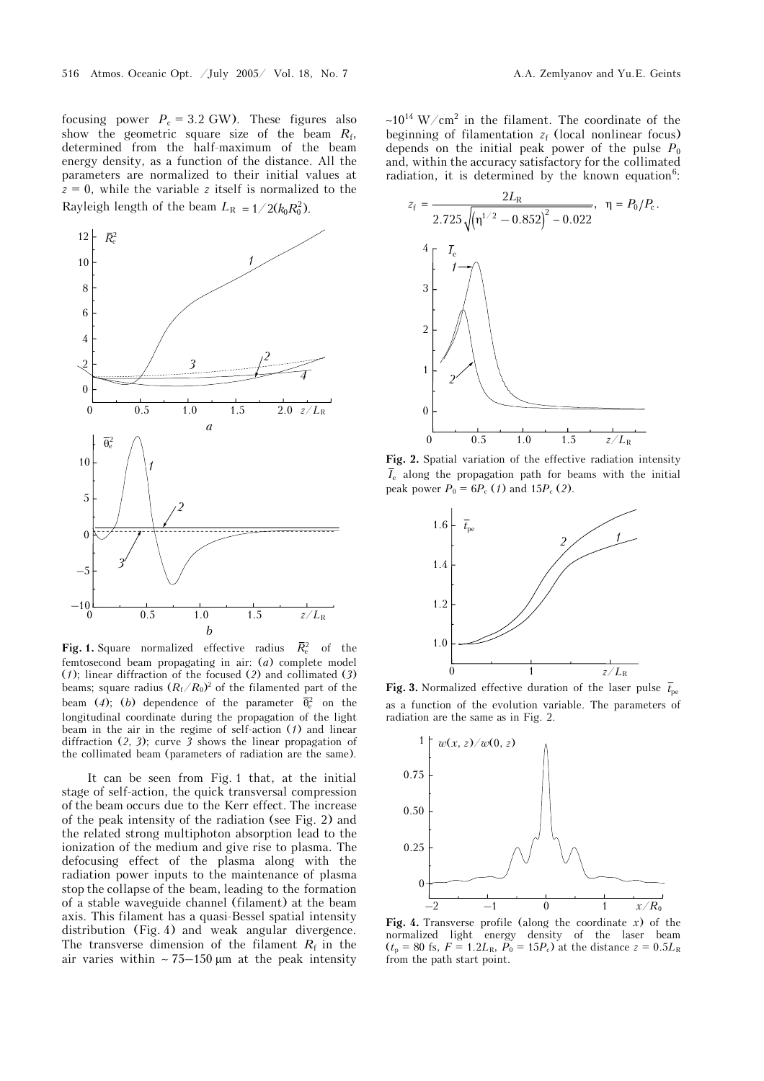focusing power  $P_c = 3.2$  GW). These figures also show the geometric square size of the beam *R*f, determined from the half-maximum of the beam energy density, as a function of the distance. All the parameters are normalized to their initial values at  $z = 0$ , while the variable *z* itself is normalized to the Rayleigh length of the beam  $L_R = 1/2(k_0 R_0^2)$ .



**Fig. 1.** Square normalized effective radius  $\bar{R}_{\rm e}^2$  of the femtosecond beam propagating in air: (*a*) complete model (*1*); linear diffraction of the focused (*2*) and collimated (*3*) beams; square radius  $(R_f/R_0)^2$  of the filamented part of the beam (4); (b) dependence of the parameter  $\bar{\theta}_0^2$  on the longitudinal coordinate during the propagation of the light beam in the air in the regime of self-action (*1*) and linear diffraction (*2*, *3*); curve *3* shows the linear propagation of the collimated beam (parameters of radiation are the same).

It can be seen from Fig. 1 that, at the initial stage of self-action, the quick transversal compression of the beam occurs due to the Kerr effect. The increase of the peak intensity of the radiation (see Fig. 2) and the related strong multiphoton absorption lead to the ionization of the medium and give rise to plasma. The defocusing effect of the plasma along with the radiation power inputs to the maintenance of plasma stop the collapse of the beam, leading to the formation of a stable waveguide channel (filament) at the beam axis. This filament has a quasi-Bessel spatial intensity distribution (Fig. 4) and weak angular divergence. The transverse dimension of the filament  $R_f$  in the air varies within ~  $75-150 \mu m$  at the peak intensity

 $~10^{14}$  W/cm<sup>2</sup> in the filament. The coordinate of the beginning of filamentation  $z_f$  (local nonlinear focus) depends on the initial peak power of the pulse  $P_0$ and, within the accuracy satisfactory for the collimated radiation, it is determined by the known equation<sup>6</sup>:



**Fig. 2.** Spatial variation of the effective radiation intensity  $\overline{I}_{e}$  along the propagation path for beams with the initial peak power  $P_0 = 6P_c$  (*1*) and 15 $P_c$  (*2*).



**Fig. 3.** Normalized effective duration of the laser pulse  $\bar{t}_{\text{pe}}$ as a function of the evolution variable. The parameters of radiation are the same as in Fig. 2.



**Fig. 4.** Transverse profile (along the coordinate *x*) of the normalized light energy density of the laser beam  $(t_p = 80 \text{ fs}, F = 1.2L_R, P_0 = 15P_c)$  at the distance  $z = 0.5L_R$ from the path start point.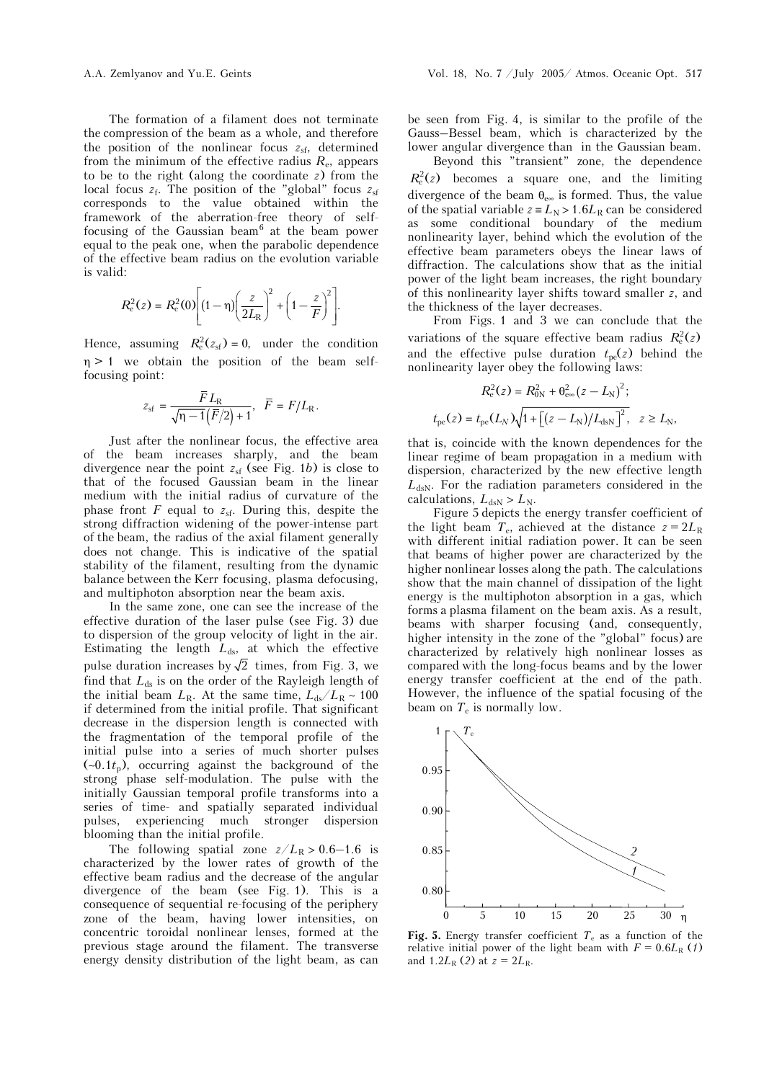The formation of a filament does not terminate the compression of the beam as a whole, and therefore the position of the nonlinear focus  $z_{sf}$ , determined from the minimum of the effective radius  $R_{e}$ , appears to be to the right (along the coordinate *z*) from the local focus  $z_f$ . The position of the "global" focus  $z_{sf}$ corresponds to the value obtained within the framework of the aberration-free theory of selffocusing of the Gaussian beam $<sup>6</sup>$  at the beam power</sup> equal to the peak one, when the parabolic dependence of the effective beam radius on the evolution variable is valid:

$$
R_{\rm e}^{2}(z) = R_{\rm e}^{2}(0) \left[ (1 - \eta) \left( \frac{z}{2L_{\rm R}} \right)^{2} + \left( 1 - \frac{z}{F} \right)^{2} \right].
$$

Hence, assuming  $R_e^2(z_{\text{sf}}) = 0$ , under the condition  $\eta > 1$  we obtain the position of the beam selffocusing point:

$$
z_{\rm sf} = \frac{\overline{F}L_{\rm R}}{\sqrt{\eta-1}(\overline{F}/2)+1}, \ \ \overline{F} = F/L_{\rm R}.
$$

Just after the nonlinear focus, the effective area of the beam increases sharply, and the beam divergence near the point  $z_{sf}$  (see Fig. 1*b*) is close to that of the focused Gaussian beam in the linear medium with the initial radius of curvature of the phase front  $F$  equal to  $z_{\text{sf}}$ . During this, despite the strong diffraction widening of the power-intense part of the beam, the radius of the axial filament generally does not change. This is indicative of the spatial stability of the filament, resulting from the dynamic balance between the Kerr focusing, plasma defocusing, and multiphoton absorption near the beam axis.

In the same zone, one can see the increase of the effective duration of the laser pulse (see Fig. 3) due to dispersion of the group velocity of light in the air. Estimating the length  $L_{ds}$ , at which the effective pulse duration increases by  $\sqrt{2}$  times, from Fig. 3, we find that  $L_{ds}$  is on the order of the Rayleigh length of the initial beam  $L_R$ . At the same time,  $L_{ds}/L_R \sim 100$ if determined from the initial profile. That significant decrease in the dispersion length is connected with the fragmentation of the temporal profile of the initial pulse into a series of much shorter pulses (∼0.1*t*p), occurring against the background of the strong phase self-modulation. The pulse with the initially Gaussian temporal profile transforms into a series of time- and spatially separated individual pulses, experiencing much stronger dispersion blooming than the initial profile.

The following spatial zone  $z/L_R > 0.6-1.6$  is characterized by the lower rates of growth of the effective beam radius and the decrease of the angular divergence of the beam (see Fig. 1). This is a consequence of sequential re-focusing of the periphery zone of the beam, having lower intensities, on concentric toroidal nonlinear lenses, formed at the previous stage around the filament. The transverse energy density distribution of the light beam, as can

be seen from Fig. 4, is similar to the profile of the Gauss–Bessel beam, which is characterized by the lower angular divergence than in the Gaussian beam.

Beyond this "transient" zone, the dependence  $R_e^2(z)$  becomes a square one, and the limiting divergence of the beam  $\theta_{e\infty}$  is formed. Thus, the value of the spatial variable  $z = L_N > 1.6L_R$  can be considered as some conditional boundary of the medium nonlinearity layer, behind which the evolution of the effective beam parameters obeys the linear laws of diffraction. The calculations show that as the initial power of the light beam increases, the right boundary of this nonlinearity layer shifts toward smaller *z*, and the thickness of the layer decreases.

From Figs. 1 and 3 we can conclude that the variations of the square effective beam radius  $R_e^2(z)$ and the effective pulse duration  $t_{pe}(z)$  behind the nonlinearity layer obey the following laws:

$$
R_{\rm e}^{2}(z) = R_{\rm 0N}^{2} + \theta_{\rm e\infty}^{2}(z - L_{\rm N})^{2};
$$
  

$$
t_{\rm pe}(z) = t_{\rm pe}(L_{\rm N})\sqrt{1 + [(z - L_{\rm N})/L_{\rm dsN}]^{2}}, \quad z \ge L_{\rm N},
$$

that is, coincide with the known dependences for the linear regime of beam propagation in a medium with dispersion, characterized by the new effective length  $L_{dSN}$ . For the radiation parameters considered in the calculations,  $L_{dsN} > L_N$ .

Figure 5 depicts the energy transfer coefficient of the light beam  $T_e$ , achieved at the distance  $z = 2L_R$ with different initial radiation power. It can be seen that beams of higher power are characterized by the higher nonlinear losses along the path. The calculations show that the main channel of dissipation of the light energy is the multiphoton absorption in a gas, which forms a plasma filament on the beam axis. As a result, beams with sharper focusing (and, consequently, higher intensity in the zone of the "global" focus) are characterized by relatively high nonlinear losses as compared with the long-focus beams and by the lower energy transfer coefficient at the end of the path. However, the influence of the spatial focusing of the beam on  $T_e$  is normally low.



**Fig. 5.** Energy transfer coefficient  $T_e$  as a function of the relative initial power of the light beam with  $F = 0.6L<sub>R</sub>$  (*1*) and  $1.2L_R$  (2) at  $z = 2L_R$ .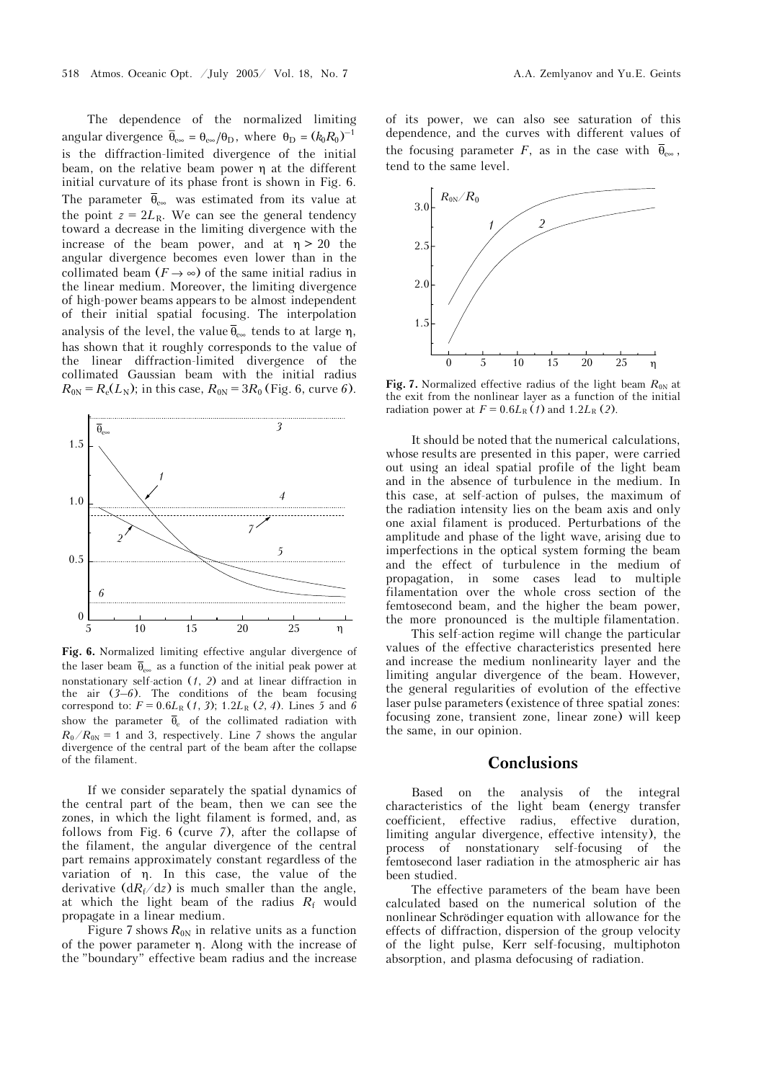The dependence of the normalized limiting angular divergence  $\overline{\theta}_{e\infty} = \theta_{e\infty}/\theta_D$ , where  $\theta_D = (k_0 R_0)^{-1}$ is the diffraction-limited divergence of the initial beam, on the relative beam power η at the different initial curvature of its phase front is shown in Fig. 6. The parameter  $\bar{\theta}_{e\infty}$  was estimated from its value at the point  $z = 2L_R$ . We can see the general tendency toward a decrease in the limiting divergence with the increase of the beam power, and at  $\eta > 20$  the angular divergence becomes even lower than in the collimated beam  $(F \rightarrow \infty)$  of the same initial radius in the linear medium. Moreover, the limiting divergence of high-power beams appears to be almost independent of their initial spatial focusing. The interpolation analysis of the level, the value  $\bar{\theta}_{\infty}$  tends to at large  $\eta$ , has shown that it roughly corresponds to the value of the linear diffraction-limited divergence of the collimated Gaussian beam with the initial radius  $R_{0N} = R_e(L_N)$ ; in this case,  $R_{0N} = 3R_0$  (Fig. 6, curve 6).



**Fig. 6.** Normalized limiting effective angular divergence of the laser beam  $\bar{\theta}_{\infty}$  as a function of the initial peak power at nonstationary self-action (*1*, *2*) and at linear diffraction in the air  $(3-6)$ . The conditions of the beam focusing correspond to:  $F = 0.6L_{R}(1, 3)$ ; 1.2 $L_{R}(2, 4)$ . Lines 5 and 6 show the parameter  $\overline{\theta}_e$  of the collimated radiation with  $R_0/R_{0N} = 1$  and 3, respectively. Line 7 shows the angular divergence of the central part of the beam after the collapse of the filament.

If we consider separately the spatial dynamics of the central part of the beam, then we can see the zones, in which the light filament is formed, and, as follows from Fig. 6 (curve *7*), after the collapse of the filament, the angular divergence of the central part remains approximately constant regardless of the variation of η. In this case, the value of the derivative  $(dR_f/dz)$  is much smaller than the angle, at which the light beam of the radius  $R_f$  would propagate in a linear medium.

Figure 7 shows  $R_{0N}$  in relative units as a function of the power parameter η. Along with the increase of the "boundary" effective beam radius and the increase of its power, we can also see saturation of this dependence, and the curves with different values of the focusing parameter *F*, as in the case with  $\bar{\theta}_{\infty}$ , tend to the same level.



**Fig. 7.** Normalized effective radius of the light beam  $R_{0N}$  at the exit from the nonlinear layer as a function of the initial radiation power at  $F = 0.6L_R(t)$  and  $1.2L_R(2)$ .

It should be noted that the numerical calculations, whose results are presented in this paper, were carried out using an ideal spatial profile of the light beam and in the absence of turbulence in the medium. In this case, at self-action of pulses, the maximum of the radiation intensity lies on the beam axis and only one axial filament is produced. Perturbations of the amplitude and phase of the light wave, arising due to imperfections in the optical system forming the beam and the effect of turbulence in the medium of propagation, in some cases lead to multiple filamentation over the whole cross section of the femtosecond beam, and the higher the beam power, the more pronounced is the multiple filamentation.

This self-action regime will change the particular values of the effective characteristics presented here and increase the medium nonlinearity layer and the limiting angular divergence of the beam. However, the general regularities of evolution of the effective laser pulse parameters (existence of three spatial zones: focusing zone, transient zone, linear zone) will keep the same, in our opinion.

#### **Conclusions**

Based on the analysis of the integral characteristics of the light beam (energy transfer coefficient, effective radius, effective duration, limiting angular divergence, effective intensity), the process of nonstationary self-focusing of the femtosecond laser radiation in the atmospheric air has been studied.

The effective parameters of the beam have been calculated based on the numerical solution of the nonlinear Schrödinger equation with allowance for the effects of diffraction, dispersion of the group velocity of the light pulse, Kerr self-focusing, multiphoton absorption, and plasma defocusing of radiation.